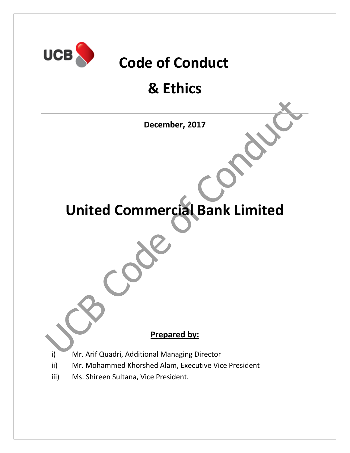

# **Code of Conduct**

# **& Ethics**

**December, 2017**

# **United Commercial Bank Limited**

## **Prepared by:**

- i) Mr. Arif Quadri, Additional Managing Director
- ii) Mr. Mohammed Khorshed Alam, Executive Vice President
- iii) Ms. Shireen Sultana, Vice President.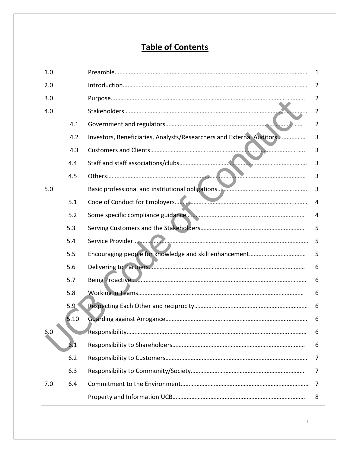## **Table of Contents**

| 1.0 |      |                                                                      | $\mathbf{1}$ |
|-----|------|----------------------------------------------------------------------|--------------|
| 2.0 |      |                                                                      | 2            |
| 3.0 |      |                                                                      | 2            |
| 4.0 |      |                                                                      | 2            |
|     | 4.1  |                                                                      | 2            |
|     | 4.2  | Investors, Beneficiaries, Analysts/Researchers and External Auditors | 3            |
|     | 4.3  |                                                                      | 3            |
|     | 4.4  |                                                                      | 3            |
|     | 4.5  |                                                                      | 3            |
| 5.0 |      |                                                                      | 3            |
|     | 5.1  |                                                                      | 4            |
|     | 5.2  |                                                                      | 4            |
|     | 5.3  |                                                                      | 5            |
|     | 5.4  |                                                                      | 5            |
|     | 5.5  |                                                                      | 5            |
|     | 5.6  |                                                                      | 6            |
|     | 5.7  |                                                                      | 6            |
|     | 5.8  |                                                                      | 6            |
|     | 5.9  |                                                                      | 6            |
|     | 5.10 |                                                                      | 6            |
| 6.0 |      |                                                                      | 6            |
|     | 6.1  |                                                                      | 6            |
|     | 6.2  |                                                                      | 7            |
|     | 6.3  |                                                                      | 7            |
| 7.0 | 6.4  |                                                                      | 7            |
|     |      |                                                                      | 8            |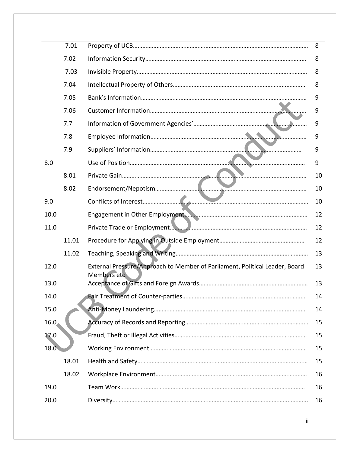|                   | 7.01  |                                                                                            | 8  |
|-------------------|-------|--------------------------------------------------------------------------------------------|----|
|                   | 7.02  |                                                                                            | 8  |
|                   | 7.03  |                                                                                            | 8  |
|                   | 7.04  |                                                                                            | 8  |
|                   | 7.05  |                                                                                            | 9  |
|                   | 7.06  |                                                                                            | 9  |
|                   | 7.7   |                                                                                            | 9  |
|                   | 7.8   |                                                                                            | 9  |
|                   | 7.9   |                                                                                            | 9  |
| 8.0               |       |                                                                                            | 9  |
|                   | 8.01  |                                                                                            | 10 |
|                   | 8.02  |                                                                                            | 10 |
| 9.0               |       |                                                                                            | 10 |
| 10.0              |       |                                                                                            | 12 |
| 11.0              |       |                                                                                            | 12 |
|                   | 11.01 |                                                                                            | 12 |
|                   | 11.02 |                                                                                            | 13 |
| 12.0              |       | External Pressure/Approach to Member of Parliament, Political Leader, Board<br>Members etc | 13 |
| 13.0              |       |                                                                                            | 13 |
| 14.0              |       |                                                                                            | 14 |
| 15.0              |       |                                                                                            | 14 |
| 16.0              |       |                                                                                            | 15 |
| 17.0              |       |                                                                                            | 15 |
| $18.\overline{0}$ |       |                                                                                            | 15 |
|                   | 18.01 |                                                                                            | 15 |
|                   | 18.02 |                                                                                            | 16 |
| 19.0              |       |                                                                                            | 16 |
| 20.0              |       |                                                                                            | 16 |
|                   |       |                                                                                            |    |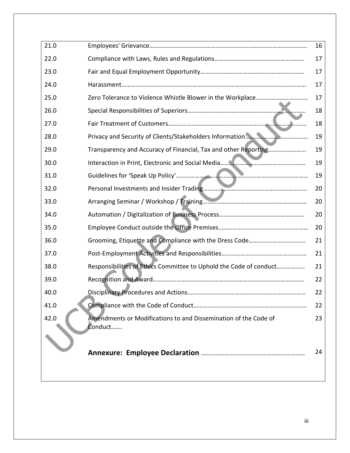| 21.0 |                                                                            | 16 |
|------|----------------------------------------------------------------------------|----|
| 22.0 |                                                                            | 17 |
| 23.0 |                                                                            | 17 |
| 24.0 |                                                                            | 17 |
| 25.0 |                                                                            | 17 |
| 26.0 |                                                                            | 18 |
| 27.0 |                                                                            | 18 |
| 28.0 |                                                                            | 19 |
| 29.0 | Transparency and Accuracy of Financial, Tax and other Reporting            | 19 |
| 30.0 |                                                                            | 19 |
| 31.0 |                                                                            | 19 |
| 32.0 |                                                                            | 20 |
| 33.0 |                                                                            | 20 |
| 34.0 |                                                                            | 20 |
| 35.0 |                                                                            | 20 |
| 36.0 |                                                                            | 21 |
| 37.0 |                                                                            | 21 |
| 38.0 | Responsibilities of Ethics Committee to Uphold the Code of conduct         | 21 |
| 39.0 |                                                                            | 22 |
| 40.0 |                                                                            | 22 |
| 41.0 |                                                                            | 22 |
| 42.0 | Amendments or Modifications to and Dissemination of the Code of<br>Conduct | 23 |
|      |                                                                            | 24 |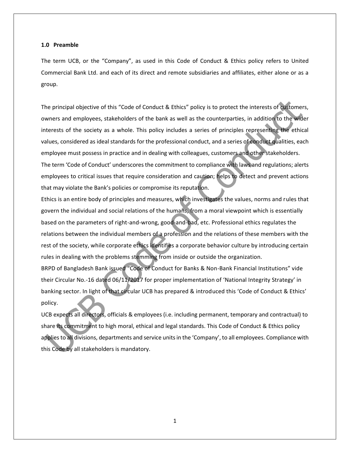#### **1.0 Preamble**

The term UCB, or the "Company", as used in this Code of Conduct & Ethics policy refers to United Commercial Bank Ltd. and each of its direct and remote subsidiaries and affiliates, either alone or as a group.

The principal objective of this "Code of Conduct & Ethics" policy is to protect the interests of customers, owners and employees, stakeholders of the bank as well as the counterparties, in addition to the wider interests of the society as a whole. This policy includes a series of principles representing the ethical values, considered as ideal standards for the professional conduct, and a series of conduct qualities, each employee must possess in practice and in dealing with colleagues, customers and other stakeholders. The term 'Code of Conduct' underscores the commitment to compliance with laws and regulations; alerts employees to critical issues that require consideration and caution; helps to detect and prevent actions that may violate the Bank's policies or compromise its reputation.

Ethics is an entire body of principles and measures, which investigates the values, norms and rules that govern the individual and social relations of the humans, from a moral viewpoint which is essentially based on the parameters of right-and-wrong, good-and-bad, etc. Professional ethics regulates the relations between the individual members of a profession and the relations of these members with the rest of the society, while corporate ethics identifies a corporate behavior culture by introducing certain rules in dealing with the problems stemming from inside or outside the organization. BRPD of Bangladesh Bank issued "Code of Conduct for Banks & Non-Bank Financial Institutions" vide their Circular No.-16 dated 06/11/2017 for proper implementation of 'National Integrity Strategy' in banking sector. In light of that circular UCB has prepared & introduced this 'Code of Conduct & Ethics'

policy.

UCB expects all directors, officials & employees (i.e. including permanent, temporary and contractual) to share its commitment to high moral, ethical and legal standards. This Code of Conduct & Ethics policy applies to all divisions, departments and service units in the 'Company', to all employees. Compliance with this Code by all stakeholders is mandatory.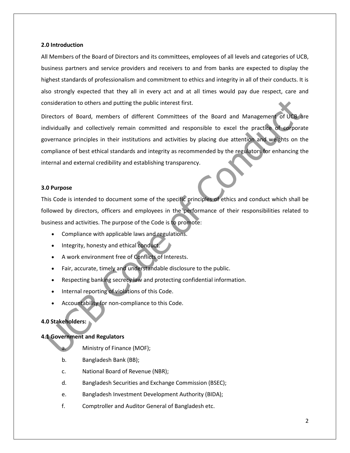#### **2.0 Introduction**

All Members of the Board of Directors and its committees, employees of all levels and categories of UCB, business partners and service providers and receivers to and from banks are expected to display the highest standards of professionalism and commitment to ethics and integrity in all of their conducts. It is also strongly expected that they all in every act and at all times would pay due respect, care and consideration to others and putting the public interest first.

Directors of Board, members of different Committees of the Board and Management of UCB are individually and collectively remain committed and responsible to excel the practice of corporate governance principles in their institutions and activities by placing due attention and weights on the compliance of best ethical standards and integrity as recommended by the regulators for enhancing the internal and external credibility and establishing transparency.

#### **3.0 Purpose**

This Code is intended to document some of the specific principles of ethics and conduct which shall be followed by directors, officers and employees in the performance of their responsibilities related to business and activities. The purpose of the Code is to promote:

- Compliance with applicable laws and regulations.
- Integrity, honesty and ethical conduct.
- A work environment free of Conflicts of Interests.
- Fair, accurate, timely and understandable disclosure to the public.
- Respecting banking secrecy law and protecting confidential information.
- Internal reporting of violations of this Code.
- Accountability for non-compliance to this Code.

## **4.0 Stakeholders:**

## **4.1 Government and Regulators**

- Ministry of Finance (MOF);
- b. Bangladesh Bank (BB);
- c. National Board of Revenue (NBR);
- d. Bangladesh Securities and Exchange Commission (BSEC);
- e. Bangladesh Investment Development Authority (BIDA);
- f. Comptroller and Auditor General of Bangladesh etc.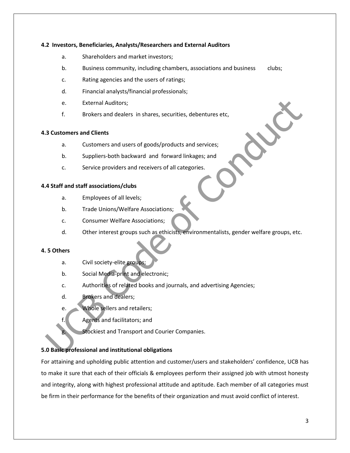#### **4.2 Investors, Beneficiaries, Analysts/Researchers and External Auditors**

- a. Shareholders and market investors;
- b. Business community, including chambers, associations and business clubs;
- c. Rating agencies and the users of ratings;
- d. Financial analysts/financial professionals;
- e. External Auditors;
- f. Brokers and dealers in shares, securities, debentures etc,

#### **4.3 Customers and Clients**

- a. Customers and users of goods/products and services;
- b. Suppliers-both backward and forward linkages; and
- c. Service providers and receivers of all categories.

### **4.4 Staff and staff associations/clubs**

- a. Employees of all levels;
- b. Trade Unions/Welfare Associations;
- c. Consumer Welfare Associations;
- d. Other interest groups such as ethicists, environmentalists, gender welfare groups, etc.

#### **4. 5 Others**

- a. Civil society-elite groups;
- b. Social Media-print and electronic;
- c. Authorities of related books and journals, and advertising Agencies;
- d. Brokers and dealers;
- e. Whole sellers and retailers;
- f. Agents and facilitators; and
	- Stockiest and Transport and Courier Companies.

## **5.0 Basic professional and institutional obligations**

For attaining and upholding public attention and customer/users and stakeholders' confidence, UCB has to make it sure that each of their officials & employees perform their assigned job with utmost honesty and integrity, along with highest professional attitude and aptitude. Each member of all categories must be firm in their performance for the benefits of their organization and must avoid conflict of interest.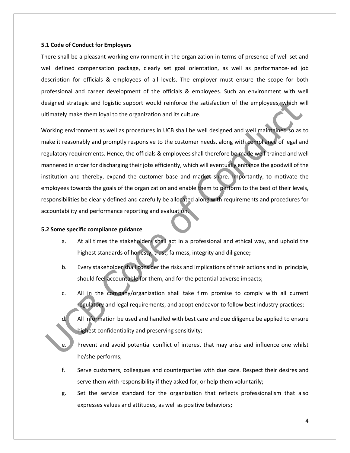#### **5.1 Code of Conduct for Employers**

There shall be a pleasant working environment in the organization in terms of presence of well set and well defined compensation package, clearly set goal orientation, as well as performance-led job description for officials & employees of all levels. The employer must ensure the scope for both professional and career development of the officials & employees. Such an environment with well designed strategic and logistic support would reinforce the satisfaction of the employees, which will ultimately make them loyal to the organization and its culture.

Working environment as well as procedures in UCB shall be well designed and well maintained so as to make it reasonably and promptly responsive to the customer needs, along with compliance of legal and regulatory requirements. Hence, the officials & employees shall therefore be made well-trained and well mannered in order for discharging their jobs efficiently, which will eventually enhance the goodwill of the institution and thereby, expand the customer base and market share. Importantly, to motivate the employees towards the goals of the organization and enable them to perform to the best of their levels, responsibilities be clearly defined and carefully be allocated along with requirements and procedures for accountability and performance reporting and evaluation.

#### **5.2 Some specific compliance guidance**

- a. At all times the stakeholders shall act in a professional and ethical way, and uphold the highest standards of honesty, trust, fairness, integrity and diligence**;**
- b. Every stakeholder shall consider the risks and implications of their actions and in principle, should feel accountable for them, and for the potential adverse impacts;
- c. All in the company/organization shall take firm promise to comply with all current regulatory and legal requirements, and adopt endeavor to follow best industry practices;
- d. All information be used and handled with best care and due diligence be applied to ensure highest confidentiality and preserving sensitivity;
- Prevent and avoid potential conflict of interest that may arise and influence one whilst he/she performs;
- f. Serve customers, colleagues and counterparties with due care. Respect their desires and serve them with responsibility if they asked for, or help them voluntarily;
- g. Set the service standard for the organization that reflects professionalism that also expresses values and attitudes, as well as positive behaviors;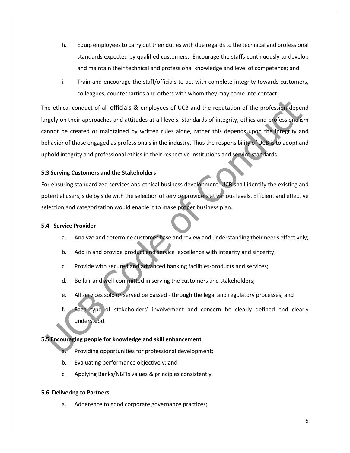- h. Equip employees to carry out their duties with due regards to the technical and professional standards expected by qualified customers. Encourage the staffs continuously to develop and maintain their technical and professional knowledge and level of competence; and
- i. Train and encourage the staff/officials to act with complete integrity towards customers, colleagues, counterparties and others with whom they may come into contact.

The ethical conduct of all officials & employees of UCB and the reputation of the profession depend largely on their approaches and attitudes at all levels. Standards of integrity, ethics and professionalism cannot be created or maintained by written rules alone, rather this depends upon the integrity and behavior of those engaged as professionals in the industry. Thus the responsibility of UCB is to adopt and uphold integrity and professional ethics in their respective institutions and service standards.

## **5.3 Serving Customers and the Stakeholders**

For ensuring standardized services and ethical business development, UCB shall identify the existing and potential users, side by side with the selection of service providers at various levels. Efficient and effective selection and categorization would enable it to make proper business plan.

## **5.4 Service Provider**

- a. Analyze and determine customer base and review and understanding their needs effectively;
- b. Add in and provide product and service excellence with integrity and sincerity;
- c. Provide with secured and advanced banking facilities-products and services;
- d. Be fair and well-committed in serving the customers and stakeholders;
- e. All services sold or served be passed through the legal and regulatory processes; and
- f. Each type of stakeholders' involvement and concern be clearly defined and clearly understood.

## **5.5 Encouraging people for knowledge and skill enhancement**

- a. Providing opportunities for professional development;
- b. Evaluating performance objectively; and
- c. Applying Banks/NBFIs values & principles consistently.

## **5.6 Delivering to Partners**

a. Adherence to good corporate governance practices;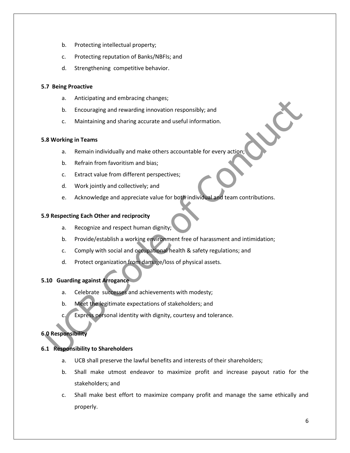- b. Protecting intellectual property;
- c. Protecting reputation of Banks/NBFIs; and
- d. Strengthening competitive behavior.

## **5.7 Being Proactive**

- a. Anticipating and embracing changes;
- b. Encouraging and rewarding innovation responsibly; and
- c. Maintaining and sharing accurate and useful information.

## **5.8 Working in Teams**

- a. Remain individually and make others accountable for every action;
- b. Refrain from favoritism and bias;
- c. Extract value from different perspectives;
- d. Work jointly and collectively; and
- e. Acknowledge and appreciate value for both individual and team contributions.

## **5.9 Respecting Each Other and reciprocity**

- a. Recognize and respect human dignity;
- b. Provide/establish a working environment free of harassment and intimidation;
- c. Comply with social and occupational health & safety regulations; and
- d. Protect organization from damage/loss of physical assets.

## **5.10 Guarding against Arrogance**

- a. Celebrate successes and achievements with modesty;
- b. Meet the legitimate expectations of stakeholders; and
- c. Express personal identity with dignity, courtesy and tolerance.

## **6.0 Responsibility**

## **6.1 Responsibility to Shareholders**

- a. UCB shall preserve the lawful benefits and interests of their shareholders;
- b. Shall make utmost endeavor to maximize profit and increase payout ratio for the stakeholders; and
- c. Shall make best effort to maximize company profit and manage the same ethically and properly.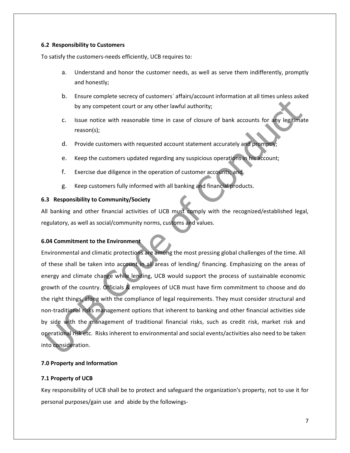### **6.2 Responsibility to Customers**

To satisfy the customers-needs efficiently, UCB requires to:

- a. Understand and honor the customer needs, as well as serve them indifferently, promptly and honestly;
- b. Ensure complete secrecy of customers` affairs/account information at all times unless asked by any competent court or any other lawful authority;
- c. Issue notice with reasonable time in case of closure of bank accounts for any legitimate reason(s);
- d. Provide customers with requested account statement accurately and promptly;
- e. Keep the customers updated regarding any suspicious operations in his account;
- f. Exercise due diligence in the operation of customer accounts; and
- g. Keep customers fully informed with all banking and financial products.

## **6.3 Responsibility to Community/Society**

All banking and other financial activities of UCB must comply with the recognized/established legal, regulatory, as well as social/community norms, customs and values.

## **6.04 Commitment to the Environment**

Environmental and climatic protections are among the most pressing global challenges of the time. All of these shall be taken into account in all areas of lending/ financing. Emphasizing on the areas of energy and climate change while lending, UCB would support the process of sustainable economic growth of the country. Officials & employees of UCB must have firm commitment to choose and do the right things, along with the compliance of legal requirements. They must consider structural and non-traditional risks management options that inherent to banking and other financial activities side by side with the management of traditional financial risks, such as credit risk, market risk and operational risk etc. Risks inherent to environmental and social events/activities also need to be taken into consideration.

## **7.0 Property and Information**

## **7.1 Property of UCB**

Key responsibility of UCB shall be to protect and safeguard the organization's property, not to use it for personal purposes/gain use and abide by the followings-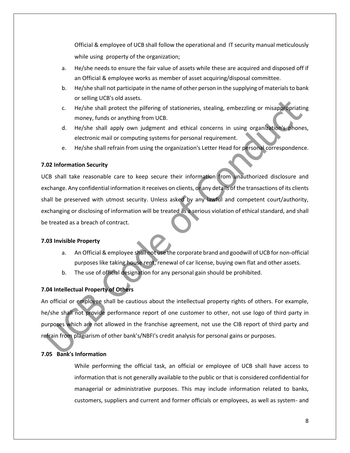Official & employee of UCB shall follow the operational and IT security manual meticulously while using property of the organization;

- a. He/she needs to ensure the fair value of assets while these are acquired and disposed off if an Official & employee works as member of asset acquiring/disposal committee.
- b. He/she shall not participate in the name of other person in the supplying of materials to bank or selling UCB's old assets.
- c. He/she shall protect the pilfering of stationeries, stealing, embezzling or misappropriating money, funds or anything from UCB.
- d. He/she shall apply own judgment and ethical concerns in using organization's phones, electronic mail or computing systems for personal requirement.
- e. He/she shall refrain from using the organization's Letter Head for personal correspondence.

## **7.02 Information Security**

UCB shall take reasonable care to keep secure their information from unauthorized disclosure and exchange. Any confidential information it receives on clients, or any details of the transactions of its clients shall be preserved with utmost security. Unless asked by any lawful and competent court/authority, exchanging or disclosing of information will be treated as a serious violation of ethical standard, and shall be treated as a breach of contract.

## **7.03 Invisible Property**

- a. An Official & employee shall not use the corporate brand and goodwill of UCB for non-official purposes like taking house rent, renewal of car license, buying own flat and other assets.
- b. The use of official designation for any personal gain should be prohibited.

## **7.04 Intellectual Property of Others**

An official or employee shall be cautious about the intellectual property rights of others. For example, he/she shall not provide performance report of one customer to other, not use logo of third party in purposes which are not allowed in the franchise agreement, not use the CIB report of third party and refrain from plagiarism of other bank's/NBFI's credit analysis for personal gains or purposes.

## **7.05 Bank's Information**

While performing the official task, an official or employee of UCB shall have access to information that is not generally available to the public or that is considered confidential for managerial or administrative purposes. This may include information related to banks, customers, suppliers and current and former officials or employees, as well as system- and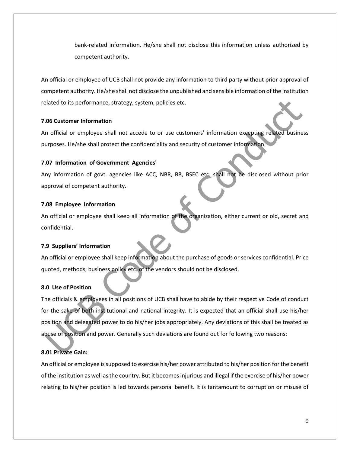bank-related information. He/she shall not disclose this information unless authorized by competent authority.

An official or employee of UCB shall not provide any information to third party without prior approval of competent authority. He/she shall not disclose the unpublished and sensible information of the institution related to its performance, strategy, system, policies etc.

#### **7.06 Customer Information**

An official or employee shall not accede to or use customers' information excepting related business purposes. He/she shall protect the confidentiality and security of customer information.

#### **7.07 Information of Government Agencies'**

Any information of govt. agencies like ACC, NBR, BB, BSEC etc. shall not be disclosed without prior approval of competent authority.

### **7.08 Employee Information**

An official or employee shall keep all information of the organization, either current or old, secret and confidential.

## **7.9 Suppliers' Information**

An official or employee shall keep information about the purchase of goods or services confidential. Price quoted, methods, business policy etc. of the vendors should not be disclosed.

## **8.0 Use of Position**

The officials & employees in all positions of UCB shall have to abide by their respective Code of conduct for the sake of both institutional and national integrity. It is expected that an official shall use his/her position and delegated power to do his/her jobs appropriately. Any deviations of this shall be treated as abuse of position and power. Generally such deviations are found out for following two reasons:

## **8.01 Private Gain:**

An official or employee is supposed to exercise his/her power attributed to his/her position for the benefit of the institution as well as the country. But it becomes injurious and illegal if the exercise of his/her power relating to his/her position is led towards personal benefit. It is tantamount to corruption or misuse of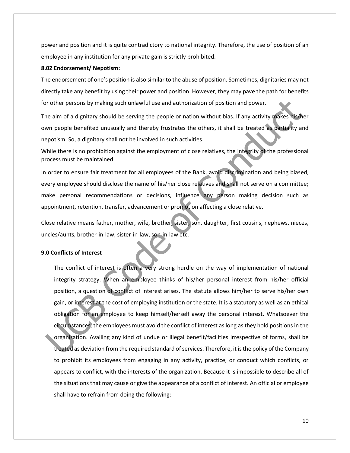power and position and it is quite contradictory to national integrity. Therefore, the use of position of an employee in any institution for any private gain is strictly prohibited.

#### **8.02 Endorsement/ Nepotism:**

The endorsement of one's position is also similar to the abuse of position. Sometimes, dignitaries may not directly take any benefit by using their power and position. However, they may pave the path for benefits for other persons by making such unlawful use and authorization of position and power.

The aim of a dignitary should be serving the people or nation without bias. If any activity makes his/her own people benefited unusually and thereby frustrates the others, it shall be treated as partiality and nepotism. So, a dignitary shall not be involved in such activities.

While there is no prohibition against the employment of close relatives, the integrity of the professional process must be maintained.

In order to ensure fair treatment for all employees of the Bank, avoid discrimination and being biased, every employee should disclose the name of his/her close relatives and shall not serve on a committee; make personal recommendations or decisions, influence any person making decision such as appointment, retention, transfer, advancement or promotion affecting a close relative.

Close relative means father, mother, wife, brother, sister, son, daughter, first cousins, nephews, nieces, uncles/aunts, brother-in-law, sister-in-law, son-in-law etc.

#### **9.0 Conflicts of Interest**

The conflict of interest is often a very strong hurdle on the way of implementation of national integrity strategy. When an employee thinks of his/her personal interest from his/her official position, a question of conflict of interest arises. The statute allows him/her to serve his/her own gain, or interest at the cost of employing institution or the state. It is a statutory as well as an ethical obligation for an employee to keep himself/herself away the personal interest. Whatsoever the circumstances, the employees must avoid the conflict of interest as long as they hold positions in the organization. Availing any kind of undue or illegal benefit/facilities irrespective of forms, shall be treated as deviation from the required standard of services. Therefore, it is the policy of the Company to prohibit its employees from engaging in any activity, practice, or conduct which conflicts, or appears to conflict, with the interests of the organization. Because it is impossible to describe all of the situations that may cause or give the appearance of a conflict of interest. An official or employee shall have to refrain from doing the following: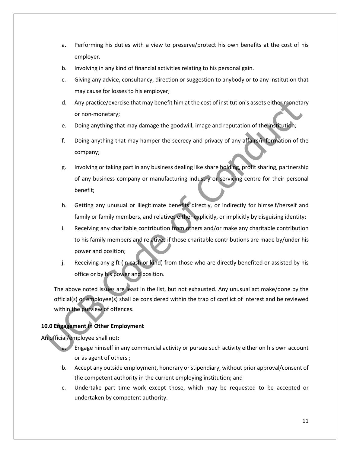- a. Performing his duties with a view to preserve/protect his own benefits at the cost of his employer.
- b. Involving in any kind of financial activities relating to his personal gain.
- c. Giving any advice, consultancy, direction or suggestion to anybody or to any institution that may cause for losses to his employer;
- d. Any practice/exercise that may benefit him at the cost of institution's assets either monetary or non-monetary;
- e. Doing anything that may damage the goodwill, image and reputation of the institution;
- f. Doing anything that may hamper the secrecy and privacy of any affairs/information of the company;
- g. Involving or taking part in any business dealing like share holding, profit sharing, partnership of any business company or manufacturing industry or servicing centre for their personal benefit;
- h. Getting any unusual or illegitimate benefits directly, or indirectly for himself/herself and family or family members, and relatives either explicitly, or implicitly by disguising identity;
- i. Receiving any charitable contribution from others and/or make any charitable contribution to his family members and relatives if those charitable contributions are made by/under his power and position;
- j. Receiving any gift (in cash or kind) from those who are directly benefited or assisted by his office or by his power and position.

The above noted issues are least in the list, but not exhausted. Any unusual act make/done by the official(s) or employee(s) shall be considered within the trap of conflict of interest and be reviewed within the purview of offences.

## **10.0 Engagement in Other Employment**

An official/employee shall not:

- a. Engage himself in any commercial activity or pursue such activity either on his own account or as agent of others ;
- b. Accept any outside employment, honorary or stipendiary, without prior approval/consent of the competent authority in the current employing institution; and
- c. Undertake part time work except those, which may be requested to be accepted or undertaken by competent authority.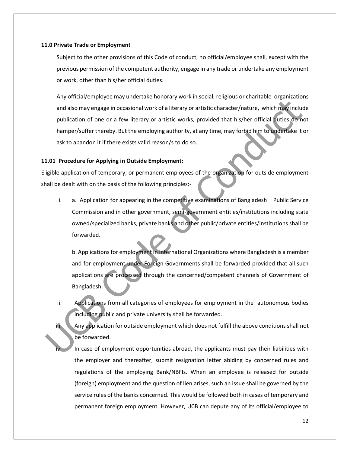#### **11.0 Private Trade or Employment**

Subject to the other provisions of this Code of conduct, no official/employee shall, except with the previous permission of the competent authority, engage in any trade or undertake any employment or work, other than his/her official duties.

Any official/employee may undertake honorary work in social, religious or charitable organizations and also may engage in occasional work of a literary or artistic character/nature, which may include publication of one or a few literary or artistic works, provided that his/her official duties do not hamper/suffer thereby. But the employing authority, at any time, may forbid him to undertake it or ask to abandon it if there exists valid reason/s to do so.

#### **11.01 Procedure for Applying in Outside Employment:**

Eligible application of temporary, or permanent employees of the organization for outside employment shall be dealt with on the basis of the following principles:-

i. a. Application for appearing in the competitive examinations of Bangladesh Public Service Commission and in other government, semi-government entities/institutions including state owned/specialized banks, private banks and other public/private entities/institutions shall be forwarded.

b. Applications for employment in International Organizations where Bangladesh is a member and for employment under Foreign Governments shall be forwarded provided that all such applications are processed through the concerned/competent channels of Government of Bangladesh.

ii. Applications from all categories of employees for employment in the autonomous bodies including public and private university shall be forwarded.

iii. Any application for outside employment which does not fulfill the above conditions shall not be forwarded.

In case of employment opportunities abroad, the applicants must pay their liabilities with the employer and thereafter, submit resignation letter abiding by concerned rules and regulations of the employing Bank/NBFIs. When an employee is released for outside (foreign) employment and the question of lien arises, such an issue shall be governed by the service rules of the banks concerned. This would be followed both in cases of temporary and permanent foreign employment. However, UCB can depute any of its official/employee to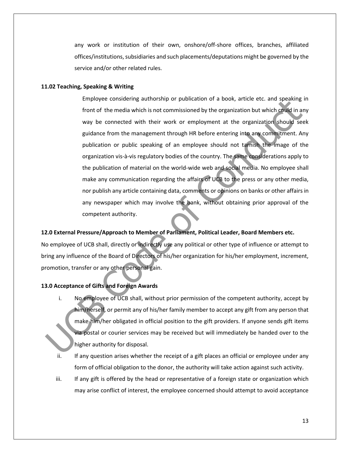any work or institution of their own, onshore/off-shore offices, branches, affiliated offices/institutions, subsidiaries and such placements/deputations might be governed by the service and/or other related rules.

#### **11.02 Teaching, Speaking & Writing**

Employee considering authorship or publication of a book, article etc. and speaking in front of the media which is not commissioned by the organization but which could in any way be connected with their work or employment at the organization should seek guidance from the management through HR before entering into any commitment. Any publication or public speaking of an employee should not tarnish the image of the organization vis-à-vis regulatory bodies of the country. The same considerations apply to the publication of material on the world-wide web and social media. No employee shall make any communication regarding the affairs of UCB to the press or any other media, nor publish any article containing data, comments or opinions on banks or other affairs in any newspaper which may involve the bank, without obtaining prior approval of the competent authority.

#### **12.0 External Pressure/Approach to Member of Parliament, Political Leader, Board Members etc.**

No employee of UCB shall, directly or indirectly use any political or other type of influence or attempt to bring any influence of the Board of Directors of his/her organization for his/her employment, increment, promotion, transfer or any other personal gain.

### **13.0 Acceptance of Gifts and Foreign Awards**

- i. No employee of UCB shall, without prior permission of the competent authority, accept by him/herself, or permit any of his/her family member to accept any gift from any person that make him/her obligated in official position to the gift providers. If anyone sends gift items via postal or courier services may be received but will immediately be handed over to the higher authority for disposal.
- ii. If any question arises whether the receipt of a gift places an official or employee under any form of official obligation to the donor, the authority will take action against such activity.
- iii. If any gift is offered by the head or representative of a foreign state or organization which may arise conflict of interest, the employee concerned should attempt to avoid acceptance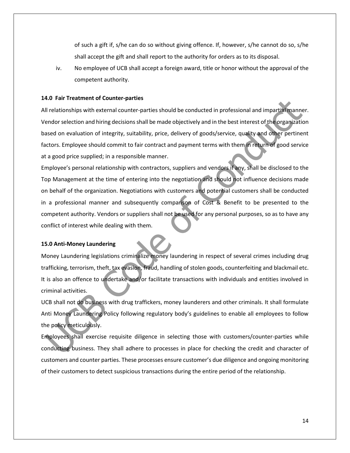of such a gift if, s/he can do so without giving offence. If, however, s/he cannot do so, s/he shall accept the gift and shall report to the authority for orders as to its disposal.

iv. No employee of UCB shall accept a foreign award, title or honor without the approval of the competent authority.

#### **14.0 Fair Treatment of Counter-parties**

All relationships with external counter-parties should be conducted in professional and impartial manner. Vendor selection and hiring decisions shall be made objectively and in the best interest of the organization based on evaluation of integrity, suitability, price, delivery of goods/service, quality and other pertinent factors. Employee should commit to fair contract and payment terms with them in return of good service at a good price supplied; in a responsible manner.

Employee's personal relationship with contractors, suppliers and vendors if any, shall be disclosed to the Top Management at the time of entering into the negotiation and should not influence decisions made on behalf of the organization. Negotiations with customers and potential customers shall be conducted in a professional manner and subsequently comparison of Cost & Benefit to be presented to the competent authority. Vendors or suppliers shall not be used for any personal purposes, so as to have any conflict of interest while dealing with them.

#### **15.0 Anti-Money Laundering**

Money Laundering legislations criminalize money laundering in respect of several crimes including drug trafficking, terrorism, theft, tax evasion, fraud, handling of stolen goods, counterfeiting and blackmail etc. It is also an offence to undertake and/or facilitate transactions with individuals and entities involved in criminal activities.

UCB shall not do business with drug traffickers, money launderers and other criminals. It shall formulate Anti Money Laundering Policy following regulatory body's guidelines to enable all employees to follow the policy meticulously.

Employees shall exercise requisite diligence in selecting those with customers/counter-parties while conducting business. They shall adhere to processes in place for checking the credit and character of customers and counter parties. These processes ensure customer's due diligence and ongoing monitoring of their customers to detect suspicious transactions during the entire period of the relationship.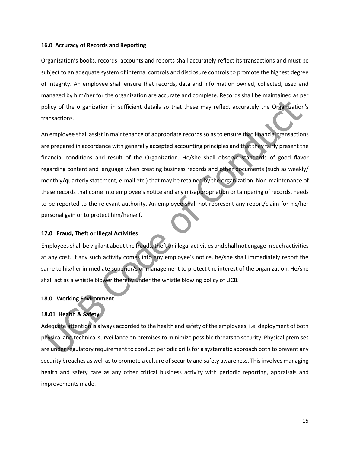#### **16.0 Accuracy of Records and Reporting**

Organization's books, records, accounts and reports shall accurately reflect its transactions and must be subject to an adequate system of internal controls and disclosure controls to promote the highest degree of integrity. An employee shall ensure that records, data and information owned, collected, used and managed by him/her for the organization are accurate and complete. Records shall be maintained as per policy of the organization in sufficient details so that these may reflect accurately the Organization's transactions.

An employee shall assist in maintenance of appropriate records so as to ensure that financial transactions are prepared in accordance with generally accepted accounting principles and that they fairly present the financial conditions and result of the Organization. He/she shall observe standards of good flavor regarding content and language when creating business records and other documents (such as weekly/ monthly/quarterly statement, e-mail etc.) that may be retained by the organization. Non-maintenance of these records that come into employee's notice and any misappropriation or tampering of records, needs to be reported to the relevant authority. An employee shall not represent any report/claim for his/her personal gain or to protect him/herself.

#### **17.0 Fraud, Theft or Illegal Activities**

Employees shall be vigilant about the frauds, theft or illegal activities and shall not engage in such activities at any cost. If any such activity comes into any employee's notice, he/she shall immediately report the same to his/her immediate superior/s or management to protect the interest of the organization. He/she shall act as a whistle blower thereby under the whistle blowing policy of UCB.

## **18.0 Working Environment**

## **18.01 Health & Safety**

Adequate attention is always accorded to the health and safety of the employees, i.e. deployment of both physical and technical surveillance on premises to minimize possible threats to security. Physical premises are under regulatory requirement to conduct periodic drills for a systematic approach both to prevent any security breaches as well as to promote a culture of security and safety awareness. This involves managing health and safety care as any other critical business activity with periodic reporting, appraisals and improvements made.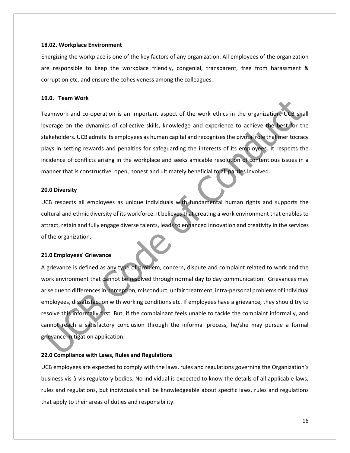#### **18.02. Workplace Environment**

Energizing the workplace is one of the key factors of any organization. All employees of the organization are responsible to keep the workplace friendly, congenial, transparent, free from harassment & corruption etc. and ensure the cohesiveness among the colleagues.

#### **19.0. Team Work**

Teamwork and co-operation is an important aspect of the work ethics in the organization. UCB shall leverage on the dynamics of collective skills, knowledge and experience to achieve the best for the stakeholders. UCB admits its employees as human capital and recognizes the pivotal role that meritocracy plays in setting rewards and penalties for safeguarding the interests of its employees. It respects the incidence of conflicts arising in the workplace and seeks amicable resolution of contentious issues in a manner that is constructive, open, honest and ultimately beneficial to all parties involved.

#### **20.0 Diversity**

UCB respects all employees as unique individuals with fundamental human rights and supports the cultural and ethnic diversity of its workforce. It believes that creating a work environment that enables to attract, retain and fully engage diverse talents, leads to enhanced innovation and creativity in the services of the organization.

#### **21.0 Employees' Grievance**

A grievance is defined as any type of problem, concern, dispute and complaint related to work and the work environment that cannot be resolved through normal day to day communication. Grievances may arise due to differences in perception, misconduct, unfair treatment, intra-personal problems of individual employees, dissatisfaction with working conditions etc. If employees have a grievance, they should try to resolve this informally first. But, if the complainant feels unable to tackle the complaint informally, and cannot reach a satisfactory conclusion through the informal process, he/she may pursue a formal grievance mitigation application.

#### **22.0 Compliance with Laws, Rules and Regulations**

UCB employees are expected to comply with the laws, rules and regulations governing the Organization's business vis-à-vis regulatory bodies. No individual is expected to know the details of all applicable laws, rules and regulations, but individuals shall be knowledgeable about specific laws, rules and regulations that apply to their areas of duties and responsibility.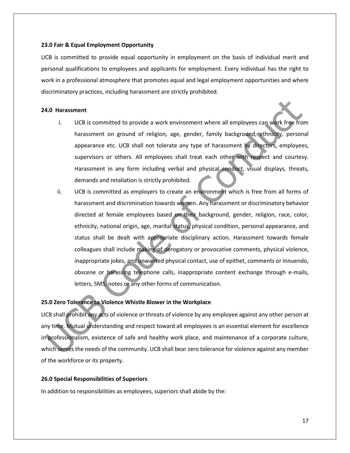#### **23.0 Fair & Equal Employment Opportunity**

UCB is committed to provide equal opportunity in employment on the basis of individual merit and personal qualifications to employees and applicants for employment. Every individual has the right to work in a professional atmosphere that promotes equal and legal employment opportunities and where discriminatory practices, including harassment are strictly prohibited.

#### **24.0 Harassment**

- i. UCB is committed to provide a work environment where all employees can work free from harassment on ground of religion, age, gender, family background, ethnicity, personal appearance etc. UCB shall not tolerate any type of harassment by directors, employees, supervisors or others. All employees shall treat each other with respect and courtesy. Harassment in any form including verbal and physical conduct, visual displays, threats, demands and retaliation is strictly prohibited.
- ii. UCB is committed as employers to create an environment which is free from all forms of harassment and discrimination towards women. Any harassment or discriminatory behavior directed at female employees based on their background, gender, religion, race, color, ethnicity, national origin, age, marital status, physical condition, personal appearance, and status shall be dealt with appropriate disciplinary action. Harassment towards female colleagues shall include making of derogatory or provocative comments, physical violence, inappropriate jokes, and unwanted physical contact, use of epithet, comments or innuendo, obscene or harassing telephone calls, inappropriate content exchange through e-mails, letters, SMS, notes or any other forms of communication.

#### **25.0 Zero Tolerance to Violence Whistle Blower in the Workplace**

UCB shall prohibit any acts of violence or threats of violence by any employee against any other person at any time. Mutual understanding and respect toward all employees is an essential element for excellence in professionalism, existence of safe and healthy work place, and maintenance of a corporate culture, which serves the needs of the community. UCB shall bear zero tolerance for violence against any member of the workforce or its property.

#### **26.0 Special Responsibilities of Superiors**

In addition to responsibilities as employees, superiors shall abide by the: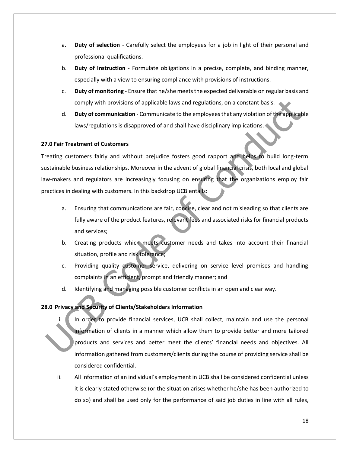- a. **Duty of selection** Carefully select the employees for a job in light of their personal and professional qualifications.
- b. **Duty of Instruction** Formulate obligations in a precise, complete, and binding manner, especially with a view to ensuring compliance with provisions of instructions.
- c. **Duty of monitoring** Ensure that he/she meets the expected deliverable on regular basis and comply with provisions of applicable laws and regulations, on a constant basis.
- d. **Duty of communication** Communicate to the employees that any violation of the applicable laws/regulations is disapproved of and shall have disciplinary implications.

## **27.0 Fair Treatment of Customers**

Treating customers fairly and without prejudice fosters good rapport and helps to build long-term sustainable business relationships. Moreover in the advent of global financial crisis, both local and global law-makers and regulators are increasingly focusing on ensuring that the organizations employ fair practices in dealing with customers. In this backdrop UCB entails:

- a. Ensuring that communications are fair, concise, clear and not misleading so that clients are fully aware of the product features, relevant fees and associated risks for financial products and services;
- b. Creating products which meets customer needs and takes into account their financial situation, profile and risk tolerance;
- c. Providing quality customer service, delivering on service level promises and handling complaints in an efficient, prompt and friendly manner; and
- d. Identifying and managing possible customer conflicts in an open and clear way.

## **28.0 Privacy and Security of Clients/Stakeholders Information**

- i. In order to provide financial services, UCB shall collect, maintain and use the personal information of clients in a manner which allow them to provide better and more tailored products and services and better meet the clients' financial needs and objectives. All information gathered from customers/clients during the course of providing service shall be considered confidential.
- ii. All information of an individual's employment in UCB shall be considered confidential unless it is clearly stated otherwise (or the situation arises whether he/she has been authorized to do so) and shall be used only for the performance of said job duties in line with all rules,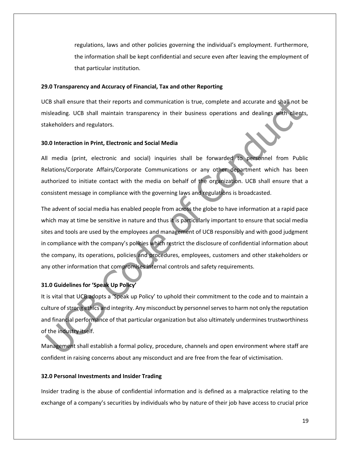regulations, laws and other policies governing the individual's employment. Furthermore, the information shall be kept confidential and secure even after leaving the employment of that particular institution.

#### **29.0 Transparency and Accuracy of Financial, Tax and other Reporting**

UCB shall ensure that their reports and communication is true, complete and accurate and shall not be misleading. UCB shall maintain transparency in their business operations and dealings with clients, stakeholders and regulators.

#### **30.0 Interaction in Print, Electronic and Social Media**

All media (print, electronic and social) inquiries shall be forwarded to personnel from Public Relations/Corporate Affairs/Corporate Communications or any other department which has been authorized to initiate contact with the media on behalf of the organization. UCB shall ensure that a consistent message in compliance with the governing laws and regulations is broadcasted.

The advent of social media has enabled people from across the globe to have information at a rapid pace which may at time be sensitive in nature and thus it is particularly important to ensure that social media sites and tools are used by the employees and management of UCB responsibly and with good judgment in compliance with the company's policies which restrict the disclosure of confidential information about the company, its operations, policies and procedures, employees, customers and other stakeholders or any other information that compromises internal controls and safety requirements.

### **31.0 Guidelines for 'Speak Up Policy'**

It is vital that UCB adopts a 'Speak up Policy' to uphold their commitment to the code and to maintain a culture of strong ethics and integrity. Any misconduct by personnel serves to harm not only the reputation and financial performance of that particular organization but also ultimately undermines trustworthiness of the industry itself.

Management shall establish a formal policy, procedure, channels and open environment where staff are confident in raising concerns about any misconduct and are free from the fear of victimisation.

#### **32.0 Personal Investments and Insider Trading**

Insider trading is the abuse of confidential information and is defined as a malpractice relating to the exchange of a company's securities by individuals who by nature of their job have access to crucial price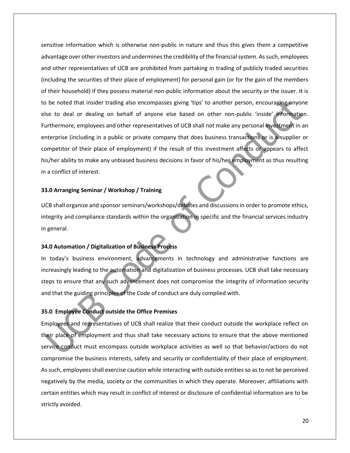sensitive information which is otherwise non-public in nature and thus this gives them a competitive advantage over other investors and undermines the credibility of the financial system. As such, employees and other representatives of UCB are prohibited from partaking in trading of publicly traded securities (including the securities of their place of employment) for personal gain (or for the gain of the members of their household) if they possess material non-public information about the security or the issuer. It is to be noted that insider trading also encompasses giving 'tips' to another person, encouraging anyone else to deal or dealing on behalf of anyone else based on other non-public 'inside' information. Furthermore, employees and other representatives of UCB shall not make any personal investment in an enterprise (including in a public or private company that does business transactions or is a supplier or competitor of their place of employment) if the result of this investment affects or appears to affect his/her ability to make any unbiased business decisions in favor of his/her employment as thus resulting in a conflict of interest.

#### **33.0 Arranging Seminar / Workshop / Training**

UCB shall organize and sponsor seminars/workshops/debates and discussions in order to promote ethics, integrity and compliance standards within the organization in specific and the financial services industry in general.

## **34.0 Automation / Digitalization of Business Process**

In today's business environment, advancements in technology and administrative functions are increasingly leading to the automation and digitalization of business processes. UCB shall take necessary steps to ensure that any such advancement does not compromise the integrity of information security and that the guiding principles of the Code of conduct are duly complied with.

#### **35.0 Employee Conduct outside the Office Premises**

Employees and representatives of UCB shall realize that their conduct outside the workplace reflect on their place of employment and thus shall take necessary actions to ensure that the above mentioned service conduct must encompass outside workplace activities as well so that behavior/actions do not compromise the business interests, safety and security or confidentiality of their place of employment. As such, employees shall exercise caution while interacting with outside entities so as to not be perceived negatively by the media, society or the communities in which they operate. Moreover, affiliations with certain entities which may result in conflict of interest or disclosure of confidential information are to be strictly avoided.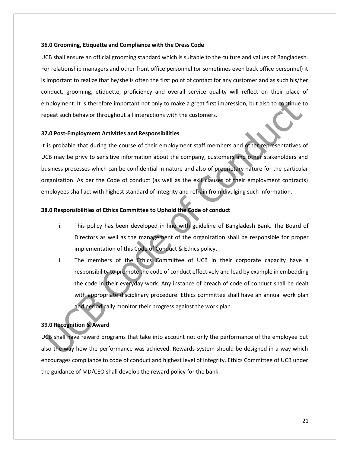#### **36.0 Grooming, Etiquette and Compliance with the Dress Code**

UCB shall ensure an official grooming standard which is suitable to the culture and values of Bangladesh. For relationship managers and other front office personnel (or sometimes even back office personnel) it is important to realize that he/she is often the first point of contact for any customer and as such his/her conduct, grooming, etiquette, proficiency and overall service quality will reflect on their place of employment. It is therefore important not only to make a great first impression, but also to continue to repeat such behavior throughout all interactions with the customers.

#### **37.0 Post-Employment Activities and Responsibilities**

It is probable that during the course of their employment staff members and other representatives of UCB may be privy to sensitive information about the company, customers and other stakeholders and business processes which can be confidential in nature and also of proprietary nature for the particular organization. As per the Code of conduct (as well as the exit clauses of their employment contracts) employees shall act with highest standard of integrity and refrain from divulging such information.

#### **38.0 Responsibilities of Ethics Committee to Uphold the Code of conduct**

- i. This policy has been developed in line with guideline of Bangladesh Bank. The Board of Directors as well as the management of the organization shall be responsible for proper implementation of this Code of Conduct & Ethics policy.
- ii. The members of the Ethics Committee of UCB in their corporate capacity have a responsibility to promote the code of conduct effectively and lead by example in embedding the code in their everyday work. Any instance of breach of code of conduct shall be dealt with appropriate disciplinary procedure. Ethics committee shall have an annual work plan and periodically monitor their progress against the work plan.

## **39.0 Recognition & Award**

UCB shall have reward programs that take into account not only the performance of the employee but also the way how the performance was achieved. Rewards system should be designed in a way which encourages compliance to code of conduct and highest level of integrity. Ethics Committee of UCB under the guidance of MD/CEO shall develop the reward policy for the bank.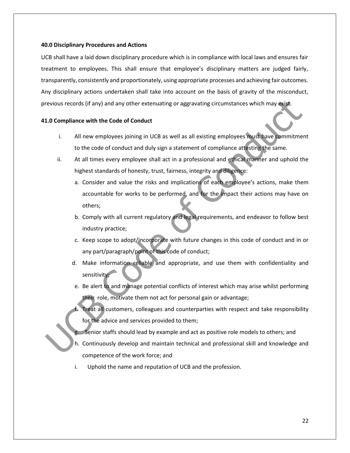#### **40.0 Disciplinary Procedures and Actions**

UCB shall have a laid down disciplinary procedure which is in compliance with local laws and ensures fair treatment to employees. This shall ensure that employee's disciplinary matters are judged fairly, transparently, consistently and proportionately, using appropriate processes and achieving fair outcomes. Any disciplinary actions undertaken shall take into account on the basis of gravity of the misconduct, previous records (if any) and any other extenuating or aggravating circumstances which may exist.

#### **41.0 Compliance with the Code of Conduct**

- i. All new employees joining in UCB as well as all existing employees must have commitment to the code of conduct and duly sign a statement of compliance attesting the same.
- ii. At all times every employee shall act in a professional and ethical manner and uphold the highest standards of honesty, trust, fairness, integrity and diligence:
	- a. Consider and value the risks and implications of each employee's actions, make them accountable for works to be performed, and for the impact their actions may have on others;
	- b. Comply with all current regulatory and legal requirements, and endeavor to follow best industry practice;
	- c. Keep scope to adopt/incorporate with future changes in this code of conduct and in or any part/paragraph/point of this code of conduct;
	- d. Make information reliable and appropriate, and use them with confidentiality and sensitivity;
	- e. Be alert to and manage potential conflicts of interest which may arise whilst performing their role, motivate them not act for personal gain or advantage;
	- Treat all customers, colleagues and counterparties with respect and take responsibility for the advice and services provided to them;
	- g. Senior staffs should lead by example and act as positive role models to others; and
	- h. Continuously develop and maintain technical and professional skill and knowledge and competence of the work force; and
	- i. Uphold the name and reputation of UCB and the profession.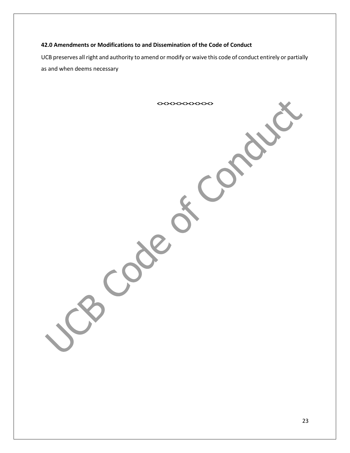## **42.0 Amendments or Modifications to and Dissemination of the Code of Conduct**

UCB preserves all right and authority to amend or modify or waive this code of conduct entirely or partially as and when deems necessary

**<><><><><><><><><>**